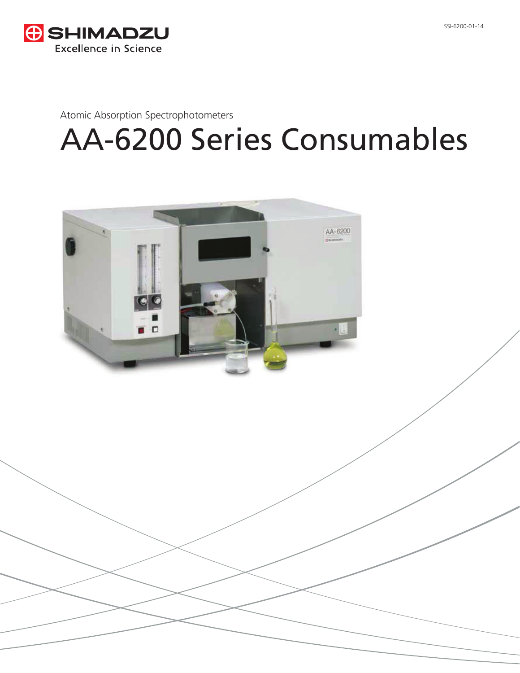

Atomic Absorption Spectrophotometers

# AA-6200 Series Consumables

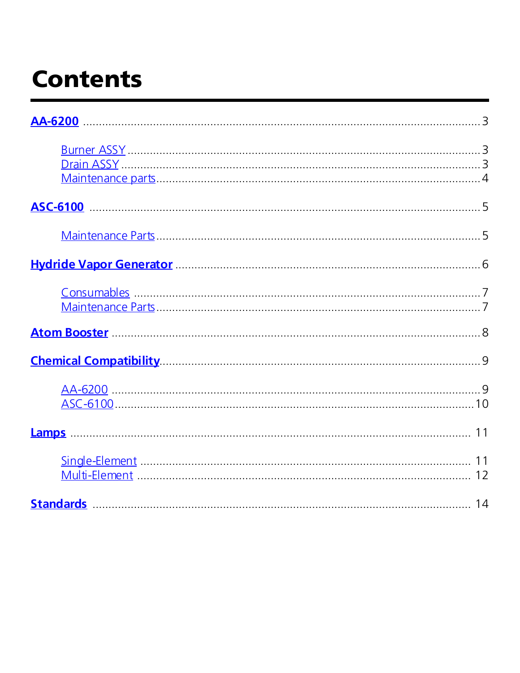# <span id="page-1-0"></span>**Contents**

| AA-6200 3                                                                                                                                                                                                                           |  |
|-------------------------------------------------------------------------------------------------------------------------------------------------------------------------------------------------------------------------------------|--|
| <u>Drain ASSY</u> 2008. 2008. 2010. 2010. 2010. 2010. 2010. 2010. 2010. 2010. 2010. 2010. 2010. 2010. 2010. 2010. 2010. 2010. 2010. 2010. 2010. 2010. 2010. 2010. 2010. 2010. 2010. 2010. 2010. 2010. 2010. 2010. 2010. 2010. 2010. |  |
|                                                                                                                                                                                                                                     |  |
|                                                                                                                                                                                                                                     |  |
|                                                                                                                                                                                                                                     |  |
|                                                                                                                                                                                                                                     |  |
|                                                                                                                                                                                                                                     |  |
|                                                                                                                                                                                                                                     |  |
|                                                                                                                                                                                                                                     |  |
|                                                                                                                                                                                                                                     |  |
|                                                                                                                                                                                                                                     |  |
|                                                                                                                                                                                                                                     |  |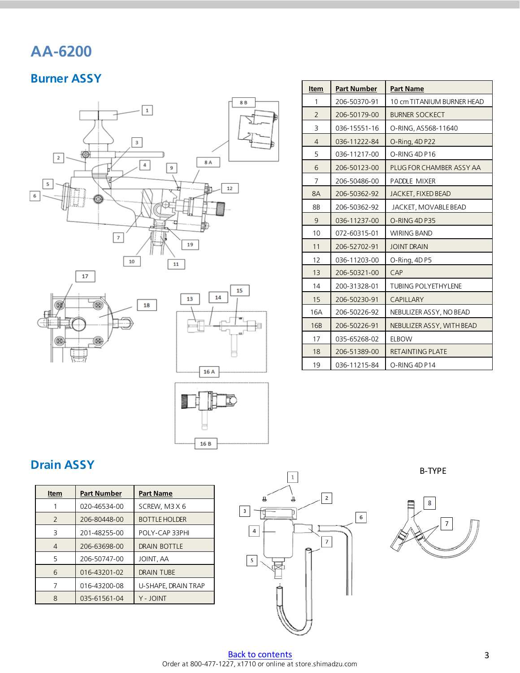### <span id="page-2-0"></span>**AA-6200**

#### **Burner ASSY**









| Item           | <b>Part Number</b> | <b>Part Name</b>           |
|----------------|--------------------|----------------------------|
| 1              | 206-50370-91       | 10 cm TITANIUM BURNER HEAD |
| 2              | 206-50179-00       | <b>BURNER SOCKECT</b>      |
| 3              | 036-15551-16       | O-RING, AS568-11640        |
| $\overline{4}$ | 036-11222-84       | O-Ring, 4D P22             |
| 5              | 036-11217-00       | O-RING 4D P16              |
| 6              | 206-50123-00       | PLUG FOR CHAMBER ASSY AA   |
| 7              | 206-50486-00       | PADDLE MIXER               |
| 8A             | 206-50362-92       | JACKET, FIXED BEAD         |
| 8B             | 206-50362-92       | JACKET, MOVABLE BEAD       |
| 9              | 036-11237-00       | O-RING 4D P35              |
| 10             | 072-60315-01       | <b>WIRING BAND</b>         |
| 11             | 206-52702-91       | <b>JOINT DRAIN</b>         |
| 12             | 036-11203-00       | O-Ring, 4DP5               |
| 13             | 206-50321-00       | CAP                        |
| 14             | 200-31328-01       | <b>TUBING POLYETHYLENE</b> |
| 15             | 206-50230-91       | <b>CAPILLARY</b>           |
| <b>16A</b>     | 206-50226-92       | NEBULIZER ASSY, NO BEAD    |
| <b>16B</b>     | 206-50226-91       | NEBULIZER ASSY, WITH BEAD  |
| 17             | 035-65268-02       | <b>ELBOW</b>               |
| 18             | 206-51389-00       | <b>RETAINTING PLATE</b>    |
| 19             | 036-11215-84       | O-RING 4D P14              |

#### **Drain ASSY**

| Item                                   | <b>Part Number</b>             | <b>Part Name</b>     |
|----------------------------------------|--------------------------------|----------------------|
|                                        | 020-46534-00                   | SCREW, M3X6          |
| $\mathcal{P}$                          | 206-80448-00                   | <b>BOTTLE HOLDER</b> |
| 3                                      | 201-48255-00<br>POLY-CAP 33PHI |                      |
| 4                                      | 206-63698-00                   | DRAIN BOTTLE         |
| 5                                      | 206-50747-00                   | JOINT, AA            |
| 6<br>016-43201-02<br><b>DRAIN TUBE</b> |                                |                      |
| 7                                      | 016-43200-08                   | U-SHAPE, DRAIN TRAP  |
| 8                                      | 035-61561-04                   | Y - JOINT            |

<span id="page-2-1"></span>

B-TYPE

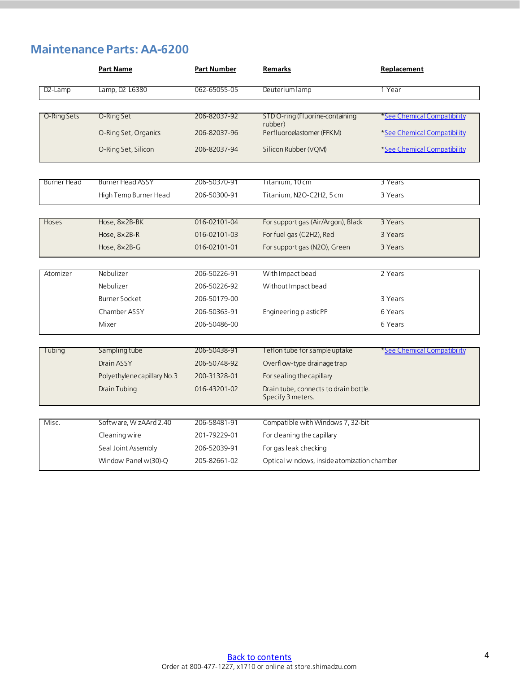### <span id="page-3-0"></span>**Maintenance Parts: AA-6200**

|             | <b>Part Name</b>            | <b>Part Number</b> | <b>Remarks</b>                                             | Replacement                 |
|-------------|-----------------------------|--------------------|------------------------------------------------------------|-----------------------------|
| $D2$ -Lamp  | Lamp, D2 L6380              | 062-65055-05       | Deuterium lamp                                             | 1 Year                      |
|             |                             |                    |                                                            |                             |
| O-Ring Sets | O-Ring Set                  | 206-82037-92       | STD O-ring (Fluorine-containing<br>rubber)                 | *See Chemical Compatibility |
|             | O-Ring Set, Organics        | 206-82037-96       | Perfluoroelastomer (FFKM)                                  | *See Chemical Compatibility |
|             | O-Ring Set, Silicon         | 206-82037-94       | Silicon Rubber (VQM)                                       | *See Chemical Compatibility |
| Burner Head | <b>Burner Head ASSY</b>     | 206-50370-91       | Titanium, 10 cm                                            | 3 Years                     |
|             | High Temp Burner Head       | 206-50300-91       | Titanium, N2O-C2H2, 5 cm                                   | 3 Years                     |
|             |                             |                    |                                                            |                             |
| Hoses       | Hose, 8x2B-BK               | 016-02101-04       | For support gas (Air/Argon), Black                         | 3 Years                     |
|             | Hose, 8×2B-R                | 016-02101-03       | For fuel gas (C2H2), Red                                   | 3 Years                     |
|             | Hose, 8×2B-G                | 016-02101-01       | For support gas (N2O), Green                               | 3 Years                     |
|             |                             |                    |                                                            |                             |
| Atomizer    | Nebulizer                   | 206-50226-91       | With Impact bead                                           | 2 Years                     |
|             | Nebulizer                   | 206-50226-92       | Without Impact bead                                        |                             |
|             | <b>Burner Socket</b>        | 206-50179-00       |                                                            | 3 Years                     |
|             | Chamber ASSY                | 206-50363-91       | Engineering plasticPP                                      | 6 Years                     |
|             | Mixer                       | 206-50486-00       |                                                            | 6 Years                     |
| Tubing      | Sampling tube               | 206-50438-91       | Teflon tube for sample uptake                              | *See Chemical Compatibility |
|             | Drain ASSY                  | 206-50748-92       | Overflow-type drainage trap                                |                             |
|             | Polyethylene capillary No.3 | 200-31328-01       | For sealing the capillary                                  |                             |
|             | Drain Tubing                | 016-43201-02       | Drain tube, connects to drain bottle.<br>Specify 3 meters. |                             |
|             |                             |                    |                                                            |                             |
| Misc.       | Software, WizAArd 2.40      | 206-58481-91       | Compatible with Windows 7, 32-bit                          |                             |
|             | Cleaning wire               | 201-79229-01       | For cleaning the capillary                                 |                             |
|             | Seal Joint Assembly         | 206-52039-91       | For gas leak checking                                      |                             |
|             | Window Panel w(30)-Q        | 205-82661-02       | Optical windows, inside atomization chamber                |                             |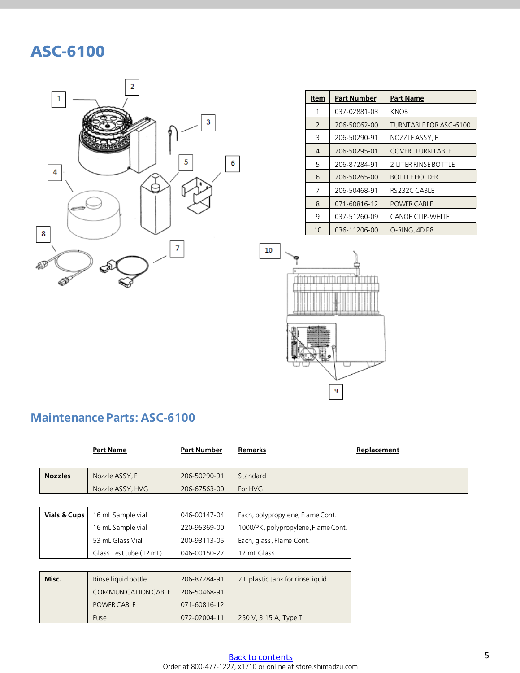### <span id="page-4-0"></span>ASC-6100



| Item           | <b>Part Number</b> | <b>Part Name</b>              |
|----------------|--------------------|-------------------------------|
| 1              | 037-02881-03       | <b>KNOB</b>                   |
| $\mathcal{P}$  | 206-50062-00       | <b>TURNTABLE FOR ASC-6100</b> |
| 3              | 206-50290-91       | NOZZLE ASSY. F                |
| $\overline{4}$ | 206-50295-01       | <b>COVER, TURNTABLE</b>       |
| 5              | 206-87284-91       | 2 LITER RINSE BOTTLE          |
| 6              | 206-50265-00       | <b>BOTTLE HOLDER</b>          |
| 7              | 206-50468-91       | RS232C CABLE                  |
| 8              | 071-60816-12       | <b>POWER CABLE</b>            |
| 9              | 037-51260-09       | <b>CANOE CLIP-WHITE</b>       |
| 10             | 036-11206-00       | O-RING, 4D P8                 |



### <span id="page-4-1"></span>**Maintenance Parts: ASC-6100**

|                         | <b>Part Name</b>        | <b>Part Number</b> | Remarks                             | Replacement |
|-------------------------|-------------------------|--------------------|-------------------------------------|-------------|
|                         |                         |                    |                                     |             |
| <b>Nozzles</b>          | Nozzle ASSY, F          | 206-50290-91       | Standard                            |             |
|                         | Nozzle ASSY, HVG        | 206-67563-00       | For HVG                             |             |
|                         |                         |                    |                                     |             |
| <b>Vials &amp; Cups</b> | 16 mL Sample vial       | 046-00147-04       | Each, polypropylene, Flame Cont.    |             |
|                         | 16 mL Sample vial       | 220-95369-00       | 1000/PK, polypropylene, Flame Cont. |             |
|                         | 53 mL Glass Vial        | 200-93113-05       | Each, glass, Flame Cont.            |             |
|                         | Glass Test tube (12 mL) | 046-00150-27       | 12 mL Glass                         |             |
|                         |                         |                    |                                     |             |
| Misc.                   | Rinse liquid bottle     | 206-87284-91       | 2 L plastic tank for rinse liquid   |             |
|                         | COMMUNICATION CABLE     | 206-50468-91       |                                     |             |
|                         | <b>POWER CABLE</b>      | 071-60816-12       |                                     |             |
|                         | Fuse                    | 072-02004-11       | 250 V, 3.15 A, Type T               |             |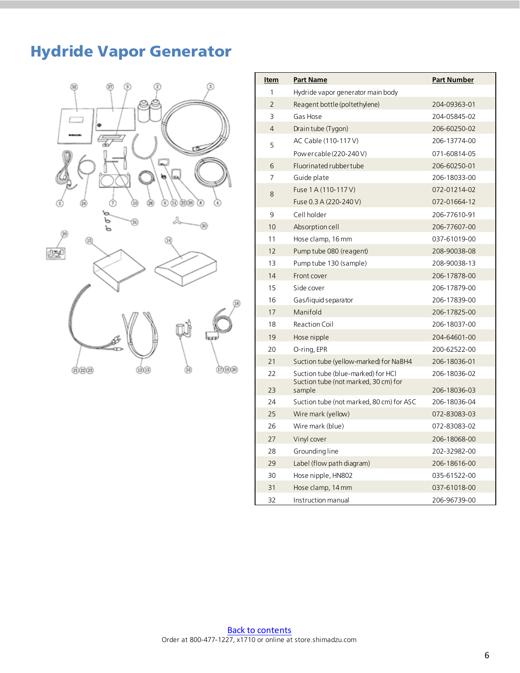## <span id="page-5-0"></span>Hydride Vapor Generator



| <u>Item</u>    | <b>Part Name</b>                               | <b>Part Number</b> |
|----------------|------------------------------------------------|--------------------|
| 1              | Hydride vapor generator main body              |                    |
| $\overline{2}$ | Reagent bottle (poltethylene)                  | 204-09363-01       |
| 3              | Gas Hose                                       | 204-05845-02       |
| 4              | Drain tube (Tygon)                             | 206-60250-02       |
| 5              | AC Cable (110-117 V)                           | 206-13774-00       |
|                | Pow er cable (220-240 V)                       | 071-60814-05       |
| 6              | Fluorinated rubber tube                        | 206-60250-01       |
| 7              | Guide plate                                    | 206-18033-00       |
| 8              | Fuse 1 A (110-117 V)                           | 072-01214-02       |
|                | Fuse 0.3 A (220-240 V)                         | 072-01664-12       |
| 9              | Cell holder                                    | 206-77610-91       |
| 10             | Absorption cell                                | 206-77607-00       |
| 11             | Hose clamp, 16 mm                              | 037-61019-00       |
| 12             | Pump tube 080 (reagent)                        | 208-90038-08       |
| 13             | Pump tube 130 (sample)                         | 208-90038-13       |
| 14             | Front cover                                    | 206-17878-00       |
| 15             | Side cover                                     | 206-17879-00       |
| 16             | Gas/liquid separator                           | 206-17839-00       |
| 17             | Manifold                                       | 206-17825-00       |
| 18             | <b>Reaction Coil</b>                           | 206-18037-00       |
| 19             | Hose nipple                                    | 204-64601-00       |
| 20             | O-ring, EPR                                    | 200-62522-00       |
| 21             | Suction tube (yellow-marked) for NaBH4         | 206-18036-01       |
| 22             | Suction tube (blue-marked) for HCI             | 206-18036-02       |
| 23             | Suction tube (not marked, 30 cm) for<br>sample | 206-18036-03       |
| 24             | Suction tube (not marked, 80 cm) for ASC       | 206-18036-04       |
| 25             | Wire mark (yellow)                             | 072-83083-03       |
| 26             | Wire mark (blue)                               | 072-83083-02       |
| 27             | Vinyl cover                                    | 206-18068-00       |
| 28             | Grounding line                                 | 202-32982-00       |
| 29             | Label (flow path diagram)                      | 206-18616-00       |
| 30             | Hose nipple, HN802                             | 035-61522-00       |
| 31             | Hose clamp, 14 mm                              | 037-61018-00       |
| 32             | Instruction manual                             | 206-96739-00       |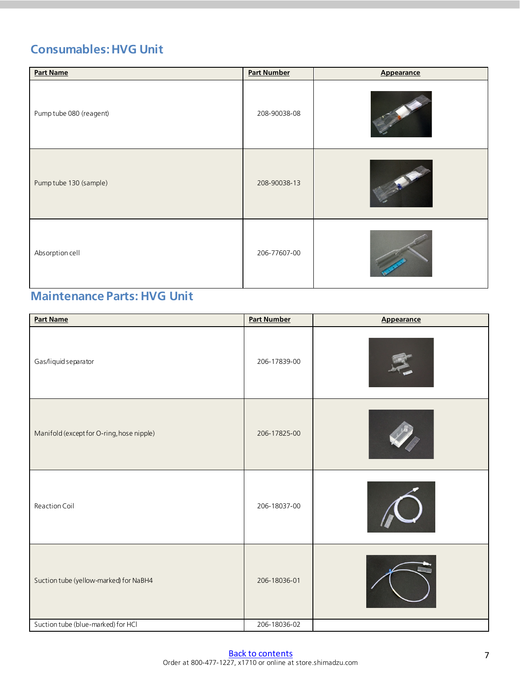### <span id="page-6-0"></span>**Consumables: HVG Unit**

| <b>Part Name</b>        | <b>Part Number</b> | Appearance |
|-------------------------|--------------------|------------|
| Pump tube 080 (reagent) | 208-90038-08       |            |
| Pump tube 130 (sample)  | 208-90038-13       |            |
| Absorption cell         | 206-77607-00       |            |

#### <span id="page-6-1"></span>**Maintenance Parts: HVG Unit**

| <b>Part Name</b>                          | <b>Part Number</b> | <b>Appearance</b> |
|-------------------------------------------|--------------------|-------------------|
| Gas/liquid separator                      | 206-17839-00       |                   |
| Manifold (except for O-ring, hose nipple) | 206-17825-00       |                   |
| Reaction Coil                             | 206-18037-00       |                   |
| Suction tube (yellow-marked) for NaBH4    | 206-18036-01       |                   |
| Suction tube (blue-marked) for HCl        | 206-18036-02       |                   |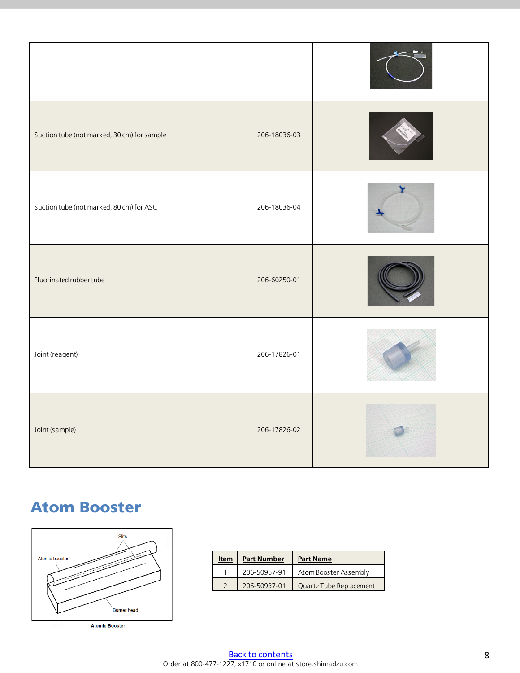| Suction tube (not marked, 30 cm) for sample | 206-18036-03 |  |
|---------------------------------------------|--------------|--|
| Suction tube (not marked, 80 cm) for ASC    | 206-18036-04 |  |
| Fluorinated rubbertube                      | 206-60250-01 |  |
| Joint (reagent)                             | 206-17826-01 |  |
| Joint (sample)                              | 206-17826-02 |  |

### <span id="page-7-0"></span>Atom Booster



| <b>Atomic Booster</b> |
|-----------------------|
|                       |

| Item | <b>Part Number</b> | <b>Part Name</b>        |
|------|--------------------|-------------------------|
|      | 206-50957-91       | Atom Booster Assembly   |
|      | 206-50937-01       | Quartz Tube Replacement |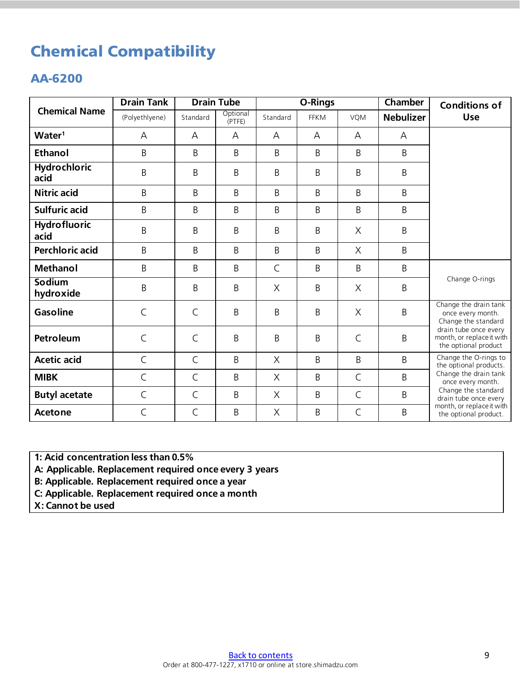## <span id="page-8-0"></span>Chemical Compatibility

#### <span id="page-8-1"></span>AA-6200

|                             | <b>Drain Tank</b> | <b>Drain Tube</b> |                    | O-Rings      |             |              | Chamber          | <b>Conditions of</b>                                                       |
|-----------------------------|-------------------|-------------------|--------------------|--------------|-------------|--------------|------------------|----------------------------------------------------------------------------|
| <b>Chemical Name</b>        | (Polyethlyene)    | Standard          | Optional<br>(PTFE) | Standard     | <b>FFKM</b> | VQM          | <b>Nebulizer</b> | <b>Use</b>                                                                 |
| Water <sup>1</sup>          | A                 | A                 | А                  | А            | А           | A            | A                |                                                                            |
| <b>Ethanol</b>              | B                 | B                 | B                  | B            | B           | B            | B                |                                                                            |
| <b>Hydrochloric</b><br>acid | B                 | B                 | B                  | B            | B           | B            | B                |                                                                            |
| <b>Nitric acid</b>          | B                 | B                 | B                  | B            | B           | B            | B                |                                                                            |
| <b>Sulfuric acid</b>        | B                 | B                 | B                  | B            | B           | B            | B                |                                                                            |
| <b>Hydrofluoric</b><br>acid | B                 | B                 | B                  | B            | B           | $\times$     | B                |                                                                            |
| <b>Perchloric acid</b>      | B                 | B                 | Β                  | B            | B           | $\times$     | B                |                                                                            |
| <b>Methanol</b>             | B                 | B                 | B                  | $\mathsf{C}$ | B           | B            | B                | Change O-rings                                                             |
| <b>Sodium</b><br>hydroxide  | B                 | B                 | B                  | $\times$     | B           | $\times$     | B                |                                                                            |
| <b>Gasoline</b>             | $\mathsf{C}$      | $\mathsf{C}$      | B                  | B            | B           | $\times$     | B                | Change the drain tank<br>once every month.<br>Change the standard          |
| Petroleum                   | $\subset$         | $\mathsf{C}$      | Β                  | B            | B           | $\mathsf C$  | B                | drain tube once every<br>month, or replace it with<br>the optional product |
| <b>Acetic acid</b>          | $\mathsf{C}$      | $\mathsf{C}$      | B                  | X            | B           | B            | B                | Change the O-rings to<br>the optional products.                            |
| <b>MIBK</b>                 | $\mathsf{C}$      | $\mathsf{C}$      | B                  | X            | B           | $\mathsf C$  | B                | Change the drain tank<br>once every month.                                 |
| <b>Butyl acetate</b>        | $\mathsf{C}$      | $\mathsf C$       | B                  | $\times$     | B           | $\subset$    | B                | Change the standard<br>drain tube once every                               |
| <b>Acetone</b>              | $\mathsf{C}$      | $\mathsf{C}$      | B                  | X            | B           | $\mathsf{C}$ | B                | month, or replace it with<br>the optional product.                         |

**1: Acid concentration less than 0.5%**

**A: Applicable. Replacement required once every 3 years**

**B: Applicable. Replacement required once a year**

**C: Applicable. Replacement required once a month**

**X: Cannot be used**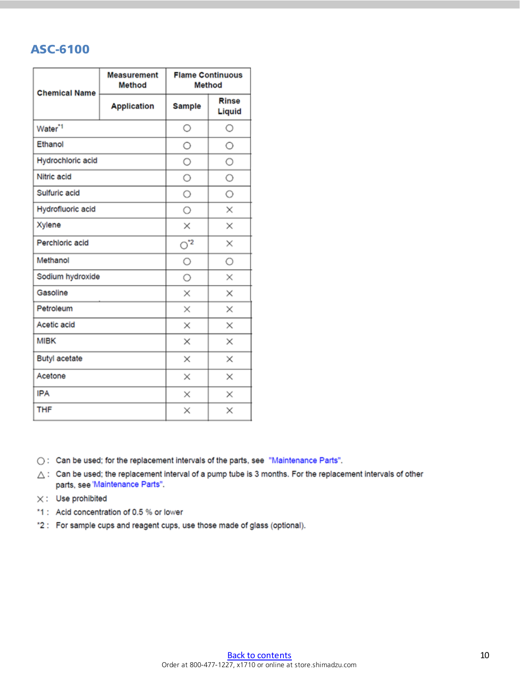#### <span id="page-9-0"></span>ASC-6100

| <b>Chemical Name</b> | <b>Measurement</b><br>Method | <b>Flame Continuous</b><br>Method |                        |  |
|----------------------|------------------------------|-----------------------------------|------------------------|--|
|                      | <b>Application</b>           | <b>Sample</b>                     | <b>Rinse</b><br>Liquid |  |
| Water <sup>*1</sup>  |                              | $\circ$                           | О                      |  |
| Ethanol              | О                            | О                                 |                        |  |
| Hydrochloric acid    | O                            | О                                 |                        |  |
| Nitric acid          |                              | O                                 | О                      |  |
| Sulfuric acid        |                              | О                                 | О                      |  |
| Hydrofluoric acid    |                              | O                                 | ×                      |  |
| Xylene               | ×                            | ×                                 |                        |  |
| Perchloric acid      | $\circ$ <sup>2</sup>         | ×                                 |                        |  |
| Methanol             | O                            | $\circ$                           |                        |  |
| Sodium hydroxide     |                              | О                                 | ×                      |  |
| Gasoline             |                              | ×                                 | ×                      |  |
| Petroleum            |                              | $\times$                          | ×                      |  |
| Acetic acid          |                              | $\times$                          | ×                      |  |
| <b>MIBK</b>          | $\times$                     | ×                                 |                        |  |
| Butyl acetate        | $\times$                     | ×                                 |                        |  |
| Acetone              | ×                            | ×                                 |                        |  |
| <b>IPA</b>           | ×                            | ×                                 |                        |  |
| <b>THF</b>           | ×                            | ×                                 |                        |  |

○: Can be used; for the replacement intervals of the parts, see "Maintenance Parts".

 $\triangle$  : Can be used; the replacement interval of a pump tube is 3 months. For the replacement intervals of other parts, see 'Maintenance Parts".

- $\times:$  Use prohibited
- \*1 : Acid concentration of 0.5 % or lower
- \*2 : For sample cups and reagent cups, use those made of glass (optional).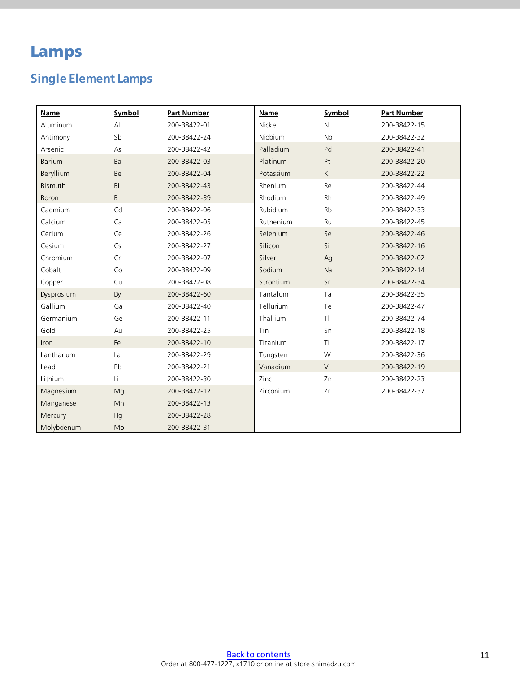### <span id="page-10-0"></span>Lamps

### <span id="page-10-1"></span>**Single Element Lamps**

| Name         | Symbol       | <b>Part Number</b> | Name      | Symbol               | <b>Part Number</b> |
|--------------|--------------|--------------------|-----------|----------------------|--------------------|
| Aluminum     | $\mathsf{A}$ | 200-38422-01       | Nickel    | Ni                   | 200-38422-15       |
| Antimony     | Sb           | 200-38422-24       | Niobium   | <b>N<sub>b</sub></b> | 200-38422-32       |
| Arsenic      | As           | 200-38422-42       | Palladium | Pd                   | 200-38422-41       |
| Barium       | Ba           | 200-38422-03       | Platinum  | Pt                   | 200-38422-20       |
| Beryllium    | Be           | 200-38422-04       | Potassium | K.                   | 200-38422-22       |
| Bismuth      | Bi           | 200-38422-43       | Rhenium   | Re                   | 200-38422-44       |
| <b>Boron</b> | B            | 200-38422-39       | Rhodium   | <b>Rh</b>            | 200-38422-49       |
| Cadmium      | Cd           | 200-38422-06       | Rubidium  | <b>Rb</b>            | 200-38422-33       |
| Calcium      | Ca           | 200-38422-05       | Ruthenium | Ru                   | 200-38422-45       |
| Cerium       | Ce           | 200-38422-26       | Selenium  | Se                   | 200-38422-46       |
| Cesium       | Cs           | 200-38422-27       | Silicon   | Si                   | 200-38422-16       |
| Chromium     | Cr           | 200-38422-07       | Silver    | Ag                   | 200-38422-02       |
| Cobalt       | Co           | 200-38422-09       | Sodium    | Na                   | 200-38422-14       |
| Copper       | Cu           | 200-38422-08       | Strontium | Sr                   | 200-38422-34       |
| Dysprosium   | <b>Dy</b>    | 200-38422-60       | Tantalum  | Ta                   | 200-38422-35       |
| Gallium      | Ga           | 200-38422-40       | Tellurium | Te                   | 200-38422-47       |
| Germanium    | Ge           | 200-38422-11       | Thallium  | T                    | 200-38422-74       |
| Gold         | Au           | 200-38422-25       | Tin       | Sn                   | 200-38422-18       |
| Iron         | Fe           | 200-38422-10       | Titanium  | Ti                   | 200-38422-17       |
| Lanthanum    | La           | 200-38422-29       | Tungsten  | W                    | 200-38422-36       |
| Lead         | Pb           | 200-38422-21       | Vanadium  | $\vee$               | 200-38422-19       |
| Lithium      | Li           | 200-38422-30       | Zinc      | Zn                   | 200-38422-23       |
| Magnesium    | Mg           | 200-38422-12       | Zirconium | Zr                   | 200-38422-37       |
| Manganese    | Mn           | 200-38422-13       |           |                      |                    |
| Mercury      | Hg           | 200-38422-28       |           |                      |                    |
| Molybdenum   | Mo           | 200-38422-31       |           |                      |                    |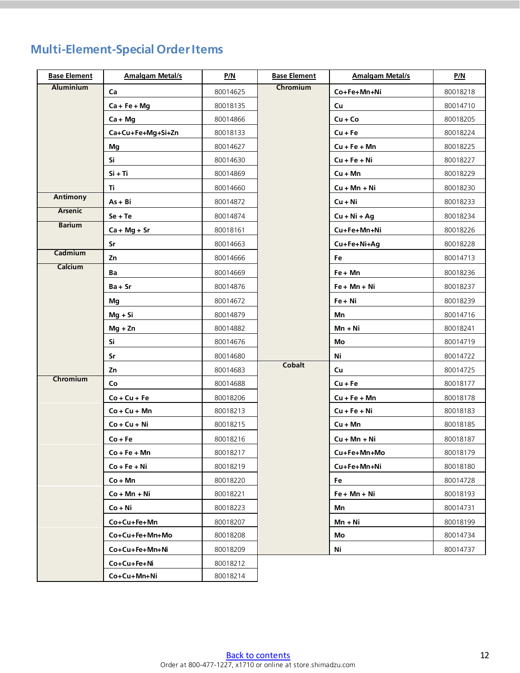### <span id="page-11-0"></span>**Multi-Element-Special Order Items**

| <b>Base Element</b> | <b>Amalgam Metal/s</b> | P/N      | <b>Base Element</b> | <b>Amalgam Metal/s</b> | P/N      |
|---------------------|------------------------|----------|---------------------|------------------------|----------|
| <b>Aluminium</b>    | Ca                     | 80014625 | Chromium            | Co+Fe+Mn+Ni            | 80018218 |
|                     | $Ca + Fe + Mg$         | 80018135 |                     | Cu                     | 80014710 |
|                     | $Ca + Mg$              | 80014866 |                     | $Cu + Co$              | 80018205 |
|                     | Ca+Cu+Fe+Mg+Si+Zn      | 80018133 |                     | $Cu + Fe$              | 80018224 |
|                     | Mg                     | 80014627 |                     | $Cu + Fe + Mn$         | 80018225 |
|                     | Si                     | 80014630 |                     | $Cu + Fe + Ni$         | 80018227 |
|                     | $Si + Ti$              | 80014869 |                     | $Cu + Mn$              | 80018229 |
|                     | Τi                     | 80014660 |                     | $Cu + Mn + Ni$         | 80018230 |
| Antimony            | $As + Bi$              | 80014872 |                     | $Cu + Ni$              | 80018233 |
| <b>Arsenic</b>      | $Se + Te$              | 80014874 |                     | $Cu + Ni + Ag$         | 80018234 |
| <b>Barium</b>       | $Ca + Mg + Sr$         | 80018161 |                     | Cu+Fe+Mn+Ni            | 80018226 |
|                     | Sr                     | 80014663 |                     | Cu+Fe+Ni+Ag            | 80018228 |
| Cadmium             | Zn                     | 80014666 |                     | Fe                     | 80014713 |
| Calcium             | Ba                     | 80014669 |                     | Fe + Mn                | 80018236 |
|                     | $Ba + Sr$              | 80014876 |                     | $Fe + Mn + Ni$         | 80018237 |
|                     | Mg                     | 80014672 |                     | Fe + Ni                | 80018239 |
|                     | $Mg + Si$              | 80014879 |                     | Mn                     | 80014716 |
|                     | $Mg + Zn$              | 80014882 |                     | Mn + Ni                | 80018241 |
|                     | Si                     | 80014676 |                     | Mo                     | 80014719 |
|                     | Sr                     | 80014680 |                     | Ni                     | 80014722 |
|                     | Zn                     | 80014683 | <b>Cobalt</b>       | Cu                     | 80014725 |
| Chromium            | Co                     | 80014688 |                     | $Cu + Fe$              | 80018177 |
|                     | $Co + Cu + Fe$         | 80018206 |                     | $Cu + Fe + Mn$         | 80018178 |
|                     | $Co + Cu + Mn$         | 80018213 |                     | $Cu + Fe + Ni$         | 80018183 |
|                     | $Co + Cu + Ni$         | 80018215 |                     | $Cu + Mn$              | 80018185 |
|                     | $Co + Fe$              | 80018216 |                     | $Cu + Mn + Ni$         | 80018187 |
|                     | $Co + Fe + Mn$         | 80018217 |                     | Cu+Fe+Mn+Mo            | 80018179 |
|                     | $Co + Fe + Ni$         | 80018219 |                     | Cu+Fe+Mn+Ni            | 80018180 |
|                     | $Co + Mn$              | 80018220 |                     | Fe                     | 80014728 |
|                     | $Co + Mn + Ni$         | 80018221 |                     | Fe + Mn + Ni           | 80018193 |
|                     | $Co + Ni$              | 80018223 |                     | Mn                     | 80014731 |
|                     | Co+Cu+Fe+Mn            | 80018207 |                     | $Mn + Ni$              | 80018199 |
|                     | Co+Cu+Fe+Mn+Mo         | 80018208 |                     | Mo.                    | 80014734 |
|                     | Co+Cu+Fe+Mn+Ni         | 80018209 |                     | Ni                     | 80014737 |
|                     | Co+Cu+Fe+Ni            | 80018212 |                     |                        |          |
|                     | Co+Cu+Mn+Ni            | 80018214 |                     |                        |          |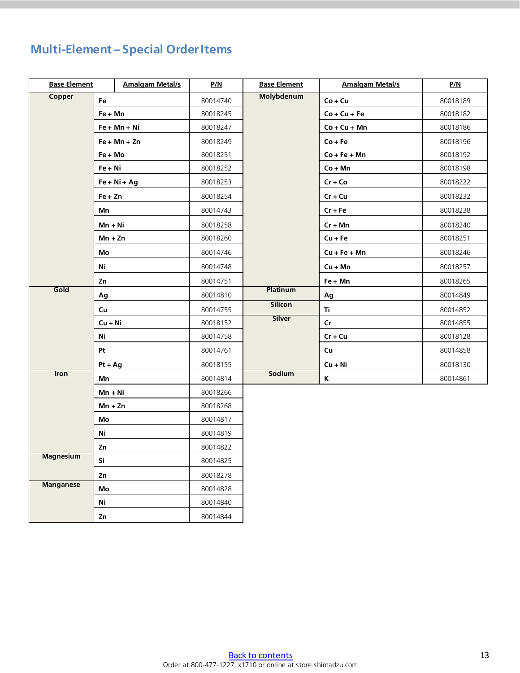### **Multi-Element – Special Order Items**

|                  | <b>Base Element</b> |                | P/N      | <b>Base Element</b> | <b>Amalgam Metal/s</b> | <u>P/N</u> |
|------------------|---------------------|----------------|----------|---------------------|------------------------|------------|
| Copper           | Fe                  |                | 80014740 | <b>Molybdenum</b>   | $Co + Cu$              | 80018189   |
|                  | Fe + Mn             |                | 80018245 |                     | $Co + Cu + Fe$         | 80018182   |
|                  |                     | $Fe + Mn + Ni$ | 80018247 |                     | $Co + Cu + Mn$         | 80018186   |
|                  |                     | $Fe + Mn + Zn$ | 80018249 |                     | $Co + Fe$              | 80018196   |
|                  | Fe + Mo             |                | 80018251 |                     | $Co + Fe + Mn$         | 80018192   |
|                  | Fe + Ni             |                | 80018252 |                     | $Co + Mn$              | 80018198   |
|                  |                     | $Fe + Ni + Ag$ | 80018253 |                     | $Cr + Co$              | 80018222   |
|                  | $Fe + Zn$           |                | 80018254 |                     | $Cr + Cu$              | 80018232   |
|                  | Mn                  |                | 80014743 |                     | $Cr + Fe$              | 80018238   |
|                  | $Mn + Ni$           |                | 80018258 |                     | $Cr + Mn$              | 80018240   |
|                  | Mn + Zn             |                | 80018260 |                     | $Cu + Fe$              | 80018251   |
|                  | Mo                  |                | 80014746 |                     | $Cu + Fe + Mn$         | 80018246   |
|                  | Ni                  |                | 80014748 |                     | $Cu + Mn$              | 80018257   |
|                  | Zn                  |                | 80014751 |                     | Fe + Mn                | 80018265   |
| Gold             | Ag                  |                | 80014810 | <b>Platinum</b>     | Ag                     | 80014849   |
|                  | Cu                  |                | 80014755 | <b>Silicon</b>      | Ti                     | 80014852   |
|                  | Cu + Ni             |                | 80018152 | <b>Silver</b>       | $\mathsf{Cr}$          | 80014855   |
|                  | Ni                  |                | 80014758 |                     | $Cr + Cu$              | 80018128   |
|                  | Pt                  |                | 80014761 |                     | Cu                     | 80014858   |
|                  | Pt + Ag             |                | 80018155 |                     | $Cu + Ni$              | 80018130   |
| <b>Iron</b>      | Mn                  |                | 80014814 | Sodium              | Κ                      | 80014861   |
|                  | Mn + Ni             |                | 80018266 |                     |                        |            |
|                  | $Mn + Zn$           |                | 80018268 |                     |                        |            |
|                  | Mo                  |                | 80014817 |                     |                        |            |
|                  | Ni                  |                | 80014819 |                     |                        |            |
|                  | Zn                  |                | 80014822 |                     |                        |            |
| <b>Magnesium</b> | Si                  |                | 80014825 |                     |                        |            |
|                  | Zn                  |                | 80018278 |                     |                        |            |
| <b>Manganese</b> | Mo                  |                | 80014828 |                     |                        |            |
|                  | Ni                  |                | 80014840 |                     |                        |            |
|                  | Zn                  |                | 80014844 |                     |                        |            |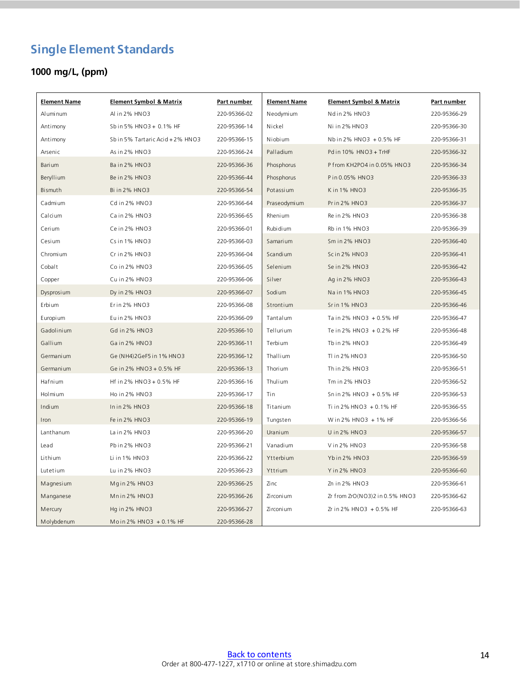### <span id="page-13-0"></span>**Single Element Standards**

#### **1000 mg/L, (ppm)**

| <b>Element Name</b> | <b>Element Symbol &amp; Matrix</b> | Part number  | <b>Element Name</b> | <b>Element Symbol &amp; Matrix</b> | Part number  |
|---------------------|------------------------------------|--------------|---------------------|------------------------------------|--------------|
| Aluminum            | Al in 2% HNO3                      | 220-95366-02 | Neodymium           | Ndin 2% HNO3                       | 220-95366-29 |
| Antimony            | Sbin 5% HNO3 + 0.1% HF             | 220-95366-14 | Nickel              | Niin 2% HNO3                       | 220-95366-30 |
| Antimony            | Sb in 5% Tartaric Acid + 2% HNO3   | 220-95366-15 | Niobium             | Nbin 2% HNO3 + 0.5% HF             | 220-95366-31 |
| Arsenic             | As in 2% HNO3                      | 220-95366-24 | Palladium           | Pd in 10% HNO3 + TrHF              | 220-95366-32 |
| Barium              | Bain 2% HNO3                       | 220-95366-36 | Phosphorus          | P from KH2PO4 in 0.05% HNO3        | 220-95366-34 |
| Beryllium           | Be in 2% HNO3                      | 220-95366-44 | Phosphorus          | P in 0.05% HNO3                    | 220-95366-33 |
| Bismuth             | Bi in 2% HNO3                      | 220-95366-54 | Potassium           | Kin 1% HNO3                        | 220-95366-35 |
| Cadmium             | Cd in 2% HNO3                      | 220-95366-64 | Praseodymium        | Prin 2% HNO3                       | 220-95366-37 |
| Calcium             | Cain 2% HNO3                       | 220-95366-65 | Rhenium             | Rein 2% HNO3                       | 220-95366-38 |
| Cerium              | Cein 2% HNO3                       | 220-95366-01 | Rubidium            | Rb in 1% HNO3                      | 220-95366-39 |
| Cesium              | Cs in 1% HNO3                      | 220-95366-03 | Samarium            | Sm in 2% HNO3                      | 220-95366-40 |
| Chromi um           | Crin2% HNO3                        | 220-95366-04 | Scandium            | Scin 2% HNO3                       | 220-95366-41 |
| Cobalt              | Co in 2% HNO3                      | 220-95366-05 | Selenium            | Sein 2% HNO3                       | 220-95366-42 |
| Copper              | Cu in 2% HNO3                      | 220-95366-06 | Silver              | Ag in 2% HNO3                      | 220-95366-43 |
| Dysprosium          | Dy in 2% HNO3                      | 220-95366-07 | Sodium              | Nain 1% HNO3                       | 220-95366-45 |
| Erbium              | Erin 2% HNO3                       | 220-95366-08 | Strontium           | Srin 1% HNO3                       | 220-95366-46 |
| Europi um           | Euin 2% HNO3                       | 220-95366-09 | Tantalum            | Ta in 2% HNO3 + 0.5% HF            | 220-95366-47 |
| Gadolinium          | Gd in 2% HNO3                      | 220-95366-10 | Tellurium           | Te in 2% HNO3 + 0.2% HF            | 220-95366-48 |
| Gallium             | Gain 2% HNO3                       | 220-95366-11 | Terbium             | Tb in 2% HNO3                      | 220-95366-49 |
| Germanium           | Ge (NH4)2GeF5 in 1% HNO3           | 220-95366-12 | Thallium            | TI in 2% HNO3                      | 220-95366-50 |
| Germanium           | Ge in 2% HNO3 + 0.5% HF            | 220-95366-13 | Thorium             | Thin 2% HNO3                       | 220-95366-51 |
| Hafnium             | Hf in 2% HNO3 + 0.5% HF            | 220-95366-16 | Thulium             | Tm in 2% HNO3                      | 220-95366-52 |
| Holmium             | Ho in 2% HNO3                      | 220-95366-17 | Tin                 | Snin 2% HNO3 + 0.5% HF             | 220-95366-53 |
| Indium              | Inin2% HNO3                        | 220-95366-18 | Titanium            | Ti in 2% HNO3 + 0.1% HF            | 220-95366-55 |
| Iron                | Fe in 2% HNO3                      | 220-95366-19 | Tungsten            | Win 2% HNO3 + 1% HF                | 220-95366-56 |
| Lanthanum           | La in 2% HNO3                      | 220-95366-20 | Uranium             | U in 2% HNO3                       | 220-95366-57 |
| Lead                | Pbin 2% HNO3                       | 220-95366-21 | Vanadium            | Vin 2% HNO3                        | 220-95366-58 |
| Lithium             | Li in 1% HNO3                      | 220-95366-22 | Ytterbium           | Ybin 2% HNO3                       | 220-95366-59 |
| Lutetium            | Lu in 2% HNO3                      | 220-95366-23 | Yttrium             | Y in 2% HNO3                       | 220-95366-60 |
| Magnesium           | Mgin 2% HNO3                       | 220-95366-25 | Zinc                | Zn in 2% HNO3                      | 220-95366-61 |
| Manganese           | Mnin 2% HNO3                       | 220-95366-26 | Zi rconi um         | Zr from ZrO(NO3)2 in 0.5% HNO3     | 220-95366-62 |
| Mercury             | Hg in 2% HNO3                      | 220-95366-27 | Zi rconi um         | Zr in 2% HNO3 + 0.5% HF            | 220-95366-63 |
| Molybdenum          | Moin 2% HNO3 $+0.1%$ HF            | 220-95366-28 |                     |                                    |              |